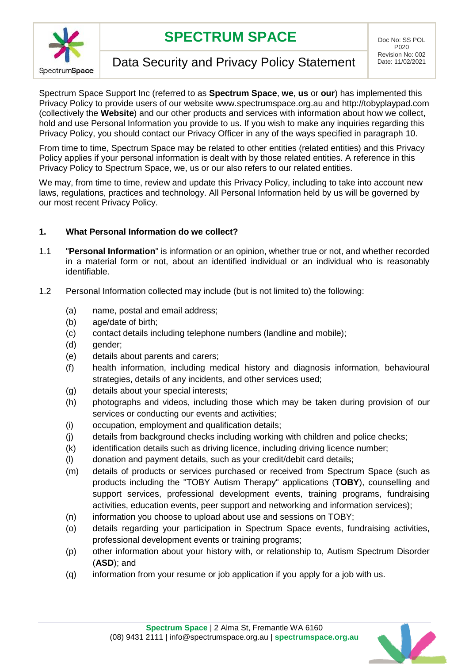

# **SPECTRUM SPACE** DOC NO: SS POL

# Data Security and Privacy Policy Statement **Plate: 11/02/2021**

Spectrum Space Support Inc (referred to as **Spectrum Space**, **we**, **us** or **our**) has implemented this Privacy Policy to provide users of our website www.spectrumspace.org.au and http://tobyplaypad.com (collectively the **Website**) and our other products and services with information about how we collect, hold and use Personal Information you provide to us. If you wish to make any inquiries regarding this Privacy Policy, you should contact our Privacy Officer in any of the ways specified in paragraph [10.](#page-4-0)

From time to time, Spectrum Space may be related to other entities (related entities) and this Privacy Policy applies if your personal information is dealt with by those related entities. A reference in this Privacy Policy to Spectrum Space, we, us or our also refers to our related entities.

We may, from time to time, review and update this Privacy Policy, including to take into account new laws, regulations, practices and technology. All Personal Information held by us will be governed by our most recent Privacy Policy.

#### **1. What Personal Information do we collect?**

- 1.1 "**Personal Information**" is information or an opinion, whether true or not, and whether recorded in a material form or not, about an identified individual or an individual who is reasonably identifiable.
- 1.2 Personal Information collected may include (but is not limited to) the following:
	- (a) name, postal and email address;
	- (b) age/date of birth;
	- (c) contact details including telephone numbers (landline and mobile);
	- (d) gender:
	- (e) details about parents and carers;
	- (f) health information, including medical history and diagnosis information, behavioural strategies, details of any incidents, and other services used;
	- (g) details about your special interests;
	- (h) photographs and videos, including those which may be taken during provision of our services or conducting our events and activities;
	- (i) occupation, employment and qualification details;
	- (j) details from background checks including working with children and police checks;
	- (k) identification details such as driving licence, including driving licence number;
	- (l) donation and payment details, such as your credit/debit card details;
	- (m) details of products or services purchased or received from Spectrum Space (such as products including the "TOBY Autism Therapy" applications (**TOBY**), counselling and support services, professional development events, training programs, fundraising activities, education events, peer support and networking and information services);
	- (n) information you choose to upload about use and sessions on TOBY;
	- (o) details regarding your participation in Spectrum Space events, fundraising activities, professional development events or training programs;
	- (p) other information about your history with, or relationship to, Autism Spectrum Disorder (**ASD**); and
	- (q) information from your resume or job application if you apply for a job with us.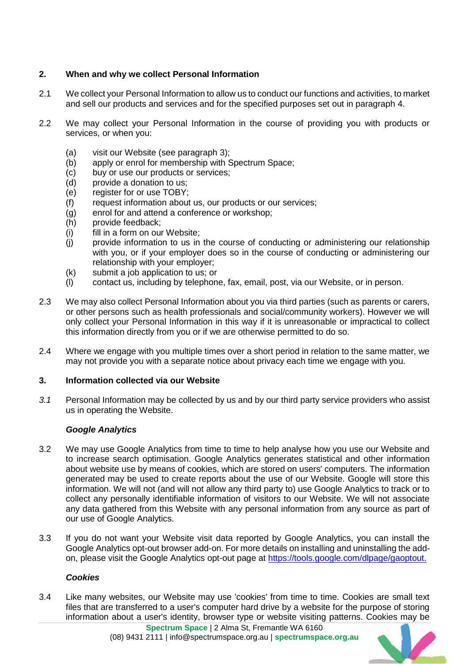## **2. When and why we collect Personal Information**

- 2.1 We collect your Personal Information to allow us to conduct our functions and activities, to market and sell our products and services and for the specified purposes set out in paragraph [4.](#page-2-0)
- 2.2 We may collect your Personal Information in the course of providing you with products or services, or when you:
	- (a) visit our Website (see paragraph [3\)](#page-1-0);
	- (b) apply or enrol for membership with Spectrum Space;
	- (c) buy or use our products or services;
	- (d) provide a donation to us;
	- (e) register for or use TOBY;
	- (f) request information about us, our products or our services;
	- (g) enrol for and attend a conference or workshop;
	- (h) provide feedback;
	- (i) fill in a form on our Website;
	- (j) provide information to us in the course of conducting or administering our relationship with you, or if your employer does so in the course of conducting or administering our relationship with your employer;
	- (k) submit a job application to us; or
	- (l) contact us, including by telephone, fax, email, post, via our Website, or in person.
- 2.3 We may also collect Personal Information about you via third parties (such as parents or carers, or other persons such as health professionals and social/community workers). However we will only collect your Personal Information in this way if it is unreasonable or impractical to collect this information directly from you or if we are otherwise permitted to do so.
- 2.4 Where we engage with you multiple times over a short period in relation to the same matter, we may not provide you with a separate notice about privacy each time we engage with you.

#### <span id="page-1-0"></span>**3. Information collected via our Website**

*3.1* Personal Information may be collected by us and by our third party service providers who assist us in operating the Website.

#### *Google Analytics*

- 3.2 We may use Google Analytics from time to time to help analyse how you use our Website and to increase search optimisation. Google Analytics generates statistical and other information about website use by means of cookies, which are stored on users' computers. The information generated may be used to create reports about the use of our Website. Google will store this information. We will not (and will not allow any third party to) use Google Analytics to track or to collect any personally identifiable information of visitors to our Website. We will not associate any data gathered from this Website with any personal information from any source as part of our use of Google Analytics.
- 3.3 If you do not want your Website visit data reported by Google Analytics, you can install the Google Analytics opt-out browser add-on. For more details on installing and uninstalling the addon, please visit the Google Analytics opt-out page at [https://tools.google.com/dlpage/gaoptout.](https://tools.google.com/dlpage/gaoptout.%20END%20OPT%201)

#### *Cookies*

3.4 Like many websites, our Website may use 'cookies' from time to time. Cookies are small text files that are transferred to a user's computer hard drive by a website for the purpose of storing information about a user's identity, browser type or website visiting patterns. Cookies may be

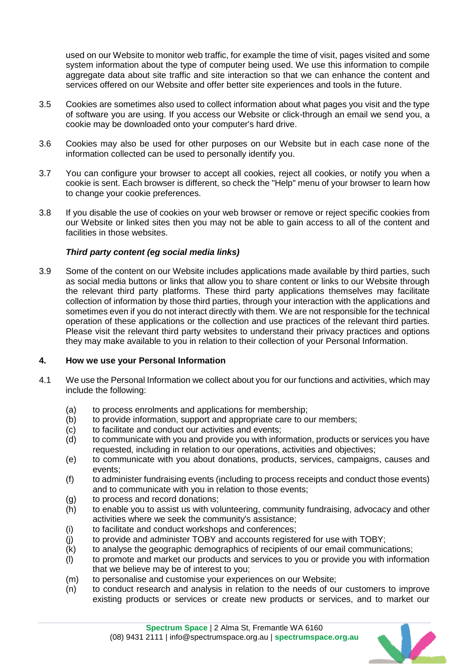used on our Website to monitor web traffic, for example the time of visit, pages visited and some system information about the type of computer being used. We use this information to compile aggregate data about site traffic and site interaction so that we can enhance the content and services offered on our Website and offer better site experiences and tools in the future.

- 3.5 Cookies are sometimes also used to collect information about what pages you visit and the type of software you are using. If you access our Website or click-through an email we send you, a cookie may be downloaded onto your computer's hard drive.
- 3.6 Cookies may also be used for other purposes on our Website but in each case none of the information collected can be used to personally identify you.
- 3.7 You can configure your browser to accept all cookies, reject all cookies, or notify you when a cookie is sent. Each browser is different, so check the "Help" menu of your browser to learn how to change your cookie preferences.
- 3.8 If you disable the use of cookies on your web browser or remove or reject specific cookies from our Website or linked sites then you may not be able to gain access to all of the content and facilities in those websites.

#### *Third party content (eg social media links)*

3.9 Some of the content on our Website includes applications made available by third parties, such as social media buttons or links that allow you to share content or links to our Website through the relevant third party platforms. These third party applications themselves may facilitate collection of information by those third parties, through your interaction with the applications and sometimes even if you do not interact directly with them. We are not responsible for the technical operation of these applications or the collection and use practices of the relevant third parties. Please visit the relevant third party websites to understand their privacy practices and options they may make available to you in relation to their collection of your Personal Information.

#### <span id="page-2-0"></span>**4. How we use your Personal Information**

- 4.1 We use the Personal Information we collect about you for our functions and activities, which may include the following:
	- (a) to process enrolments and applications for membership;
	- (b) to provide information, support and appropriate care to our members;
	- (c) to facilitate and conduct our activities and events;
	- (d) to communicate with you and provide you with information, products or services you have requested, including in relation to our operations, activities and objectives;
	- (e) to communicate with you about donations, products, services, campaigns, causes and events;
	- (f) to administer fundraising events (including to process receipts and conduct those events) and to communicate with you in relation to those events;
	- (g) to process and record donations;
	- (h) to enable you to assist us with volunteering, community fundraising, advocacy and other activities where we seek the community's assistance;
	- (i) to facilitate and conduct workshops and conferences;
	- $(i)$  to provide and administer TOBY and accounts registered for use with TOBY;
	- (k) to analyse the geographic demographics of recipients of our email communications;
	- (l) to promote and market our products and services to you or provide you with information that we believe may be of interest to you;
	- (m) to personalise and customise your experiences on our Website;
	- (n) to conduct research and analysis in relation to the needs of our customers to improve existing products or services or create new products or services, and to market our

V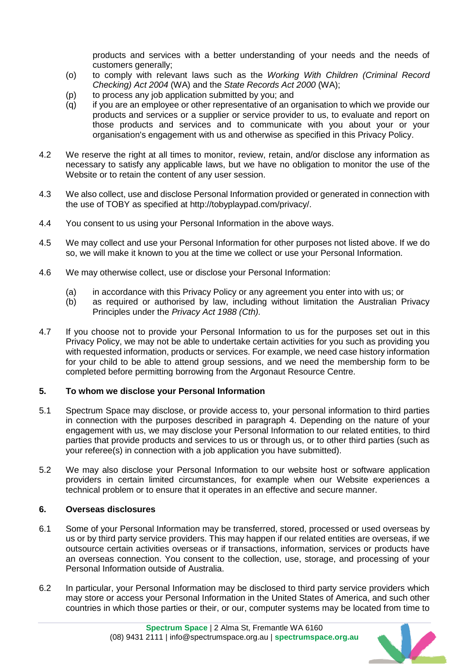products and services with a better understanding of your needs and the needs of customers generally;

- (o) to comply with relevant laws such as the *Working With Children (Criminal Record Checking) Act 2004* (WA) and the *State Records Act 2000* (WA);
- (p) to process any job application submitted by you; and
- (q) if you are an employee or other representative of an organisation to which we provide our products and services or a supplier or service provider to us, to evaluate and report on those products and services and to communicate with you about your or your organisation's engagement with us and otherwise as specified in this Privacy Policy.
- 4.2 We reserve the right at all times to monitor, review, retain, and/or disclose any information as necessary to satisfy any applicable laws, but we have no obligation to monitor the use of the Website or to retain the content of any user session.
- 4.3 We also collect, use and disclose Personal Information provided or generated in connection with the use of TOBY as specified at http://tobyplaypad.com/privacy/.
- 4.4 You consent to us using your Personal Information in the above ways.
- 4.5 We may collect and use your Personal Information for other purposes not listed above. If we do so, we will make it known to you at the time we collect or use your Personal Information.
- 4.6 We may otherwise collect, use or disclose your Personal Information:
	- (a) in accordance with this Privacy Policy or any agreement you enter into with us; or
	- (b) as required or authorised by law, including without limitation the Australian Privacy Principles under the *Privacy Act 1988 (Cth).*
- 4.7 If you choose not to provide your Personal Information to us for the purposes set out in this Privacy Policy, we may not be able to undertake certain activities for you such as providing you with requested information, products or services. For example, we need case history information for your child to be able to attend group sessions, and we need the membership form to be completed before permitting borrowing from the Argonaut Resource Centre.

#### **5. To whom we disclose your Personal Information**

- 5.1 Spectrum Space may disclose, or provide access to, your personal information to third parties in connection with the purposes described in paragraph [4.](#page-2-0) Depending on the nature of your engagement with us, we may disclose your Personal Information to our related entities, to third parties that provide products and services to us or through us, or to other third parties (such as your referee(s) in connection with a job application you have submitted).
- 5.2 We may also disclose your Personal Information to our website host or software application providers in certain limited circumstances, for example when our Website experiences a technical problem or to ensure that it operates in an effective and secure manner.

### **6. Overseas disclosures**

- 6.1 Some of your Personal Information may be transferred, stored, processed or used overseas by us or by third party service providers. This may happen if our related entities are overseas, if we outsource certain activities overseas or if transactions, information, services or products have an overseas connection. You consent to the collection, use, storage, and processing of your Personal Information outside of Australia.
- 6.2 In particular, your Personal Information may be disclosed to third party service providers which may store or access your Personal Information in the United States of America, and such other countries in which those parties or their, or our, computer systems may be located from time to

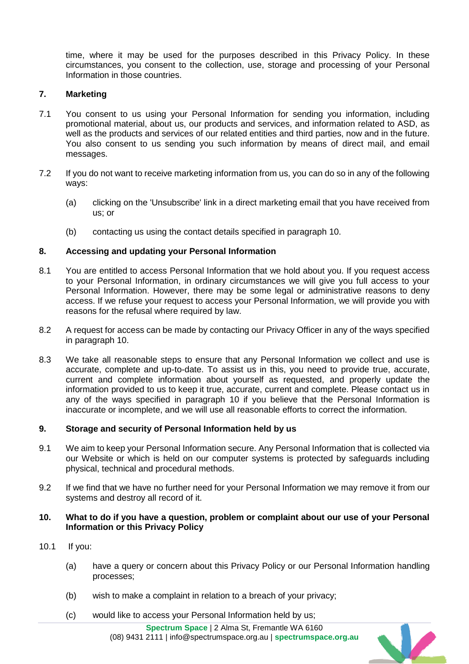time, where it may be used for the purposes described in this Privacy Policy. In these circumstances, you consent to the collection, use, storage and processing of your Personal Information in those countries.

#### **7. Marketing**

- 7.1 You consent to us using your Personal Information for sending you information, including promotional material, about us, our products and services, and information related to ASD, as well as the products and services of our related entities and third parties, now and in the future. You also consent to us sending you such information by means of direct mail, and email messages.
- 7.2 If you do not want to receive marketing information from us, you can do so in any of the following ways:
	- (a) clicking on the 'Unsubscribe' link in a direct marketing email that you have received from us; or
	- (b) contacting us using the contact details specified in paragraph [10.](#page-4-0)

#### **8. Accessing and updating your Personal Information**

- 8.1 You are entitled to access Personal Information that we hold about you. If you request access to your Personal Information, in ordinary circumstances we will give you full access to your Personal Information. However, there may be some legal or administrative reasons to deny access. If we refuse your request to access your Personal Information, we will provide you with reasons for the refusal where required by law.
- 8.2 A request for access can be made by contacting our Privacy Officer in any of the ways specified in paragraph [10.](#page-4-0)
- 8.3 We take all reasonable steps to ensure that any Personal Information we collect and use is accurate, complete and up-to-date. To assist us in this, you need to provide true, accurate, current and complete information about yourself as requested, and properly update the information provided to us to keep it true, accurate, current and complete. Please contact us in any of the ways specified in paragraph [10](#page-4-0) if you believe that the Personal Information is inaccurate or incomplete, and we will use all reasonable efforts to correct the information.

#### **9. Storage and security of Personal Information held by us**

- 9.1 We aim to keep your Personal Information secure. Any Personal Information that is collected via our Website or which is held on our computer systems is protected by safeguards including physical, technical and procedural methods.
- 9.2 If we find that we have no further need for your Personal Information we may remove it from our systems and destroy all record of it.

#### <span id="page-4-0"></span>**10. What to do if you have a question, problem or complaint about our use of your Personal Information or this Privacy Policy**

- 10.1 If you:
	- (a) have a query or concern about this Privacy Policy or our Personal Information handling processes;
	- (b) wish to make a complaint in relation to a breach of your privacy;
	- (c) would like to access your Personal Information held by us;